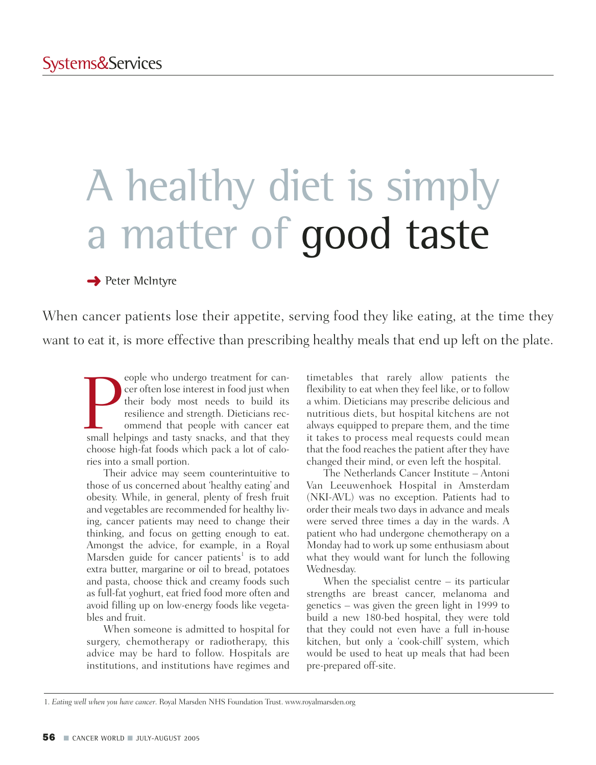# A healthy diet is simply a matter of good taste

**→** Peter McIntyre

When cancer patients lose their appetite, serving food they like eating, at the time they want to eat it, is more effective than prescribing healthy meals that end up left on the plate.

France of the undergo treatment for can-<br>cer often lose interest in food just when<br>their body most needs to build its<br>resilience and strength. Dieticians rec-<br>ommend that people with cancer eat<br>small helpings and tasty sna eople who undergo treatment for cancer often lose interest in food just when their body most needs to build its resilience and strength. Dieticians recommend that people with cancer eat choose high-fat foods which pack a lot of calories into a small portion.

Their advice may seem counterintuitive to those of us concerned about 'healthy eating' and obesity. While, in general, plenty of fresh fruit and vegetables are recommended for healthy living, cancer patients may need to change their thinking, and focus on getting enough to eat. Amongst the advice, for example, in a Royal Marsden guide for cancer patients<sup>1</sup> is to add extra butter, margarine or oil to bread, potatoes and pasta, choose thick and creamy foods such as full-fat yoghurt, eat fried food more often and avoid filling up on low-energy foods like vegetables and fruit.

When someone is admitted to hospital for surgery, chemotherapy or radiotherapy, this advice may be hard to follow. Hospitals are institutions, and institutions have regimes and timetables that rarely allow patients the flexibility to eat when they feel like, or to follow a whim. Dieticians may prescribe delicious and nutritious diets, but hospital kitchens are not always equipped to prepare them, and the time it takes to process meal requests could mean that the food reaches the patient after they have changed their mind, or even left the hospital.

The Netherlands Cancer Institute – Antoni Van Leeuwenhoek Hospital in Amsterdam (NKI-AVL) was no exception. Patients had to order their meals two days in advance and meals were served three times a day in the wards. A patient who had undergone chemotherapy on a Monday had to work up some enthusiasm about what they would want for lunch the following Wednesday.

When the specialist centre  $-$  its particular strengths are breast cancer, melanoma and genetics – was given the green light in 1999 to build a new 180-bed hospital, they were told that they could not even have a full in-house kitchen, but only a 'cook-chill' system, which would be used to heat up meals that had been pre-prepared off-site.

1. *Eating well when you have cancer*. Royal Marsden NHS Foundation Trust. www.royalmarsden.org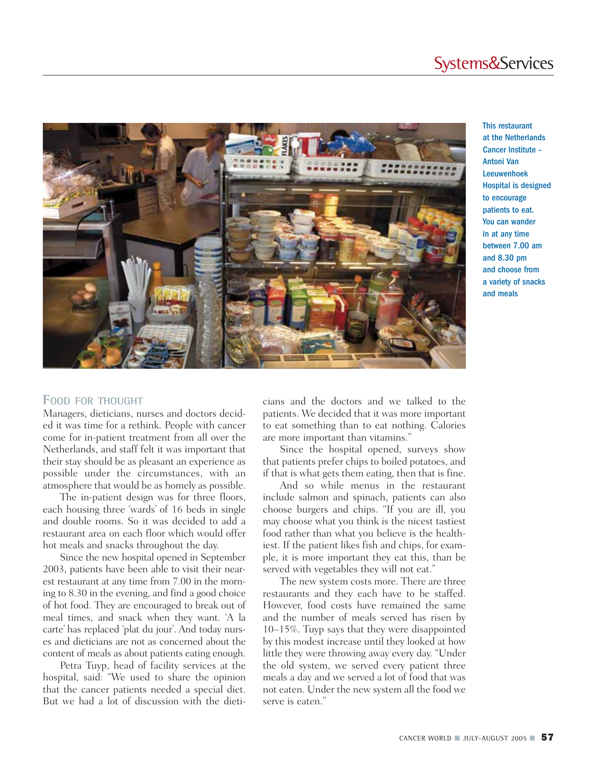### Systems&Services



This restaurant at the Netherlands Cancer Institute – Antoni Van Leeuwenhoek Hospital is designed to encourage patients to eat. You can wander in at any time between 7.00 am and 8.30 pm and choose from a variety of snacks and meals

#### **FOOD FOR THOUGHT**

Managers, dieticians, nurses and doctors decided it was time for a rethink. People with cancer come for in-patient treatment from all over the Netherlands, and staff felt it was important that their stay should be as pleasant an experience as possible under the circumstances, with an atmosphere that would be as homely as possible.

The in-patient design was for three floors, each housing three 'wards' of 16 beds in single and double rooms. So it was decided to add a restaurant area on each floor which would offer hot meals and snacks throughout the day.

Since the new hospital opened in September 2003, patients have been able to visit their nearest restaurant at any time from 7.00 in the morning to 8.30 in the evening, and find a good choice of hot food. They are encouraged to break out of meal times, and snack when they want. 'A la carte' has replaced 'plat du jour'. And today nurses and dieticians are not as concerned about the content of meals as about patients eating enough.

Petra Tuyp, head of facility services at the hospital, said: "We used to share the opinion that the cancer patients needed a special diet. But we had a lot of discussion with the dieticians and the doctors and we talked to the patients. We decided that it was more important to eat something than to eat nothing. Calories are more important than vitamins."

Since the hospital opened, surveys show that patients prefer chips to boiled potatoes, and if that is what gets them eating, then that is fine.

And so while menus in the restaurant include salmon and spinach, patients can also choose burgers and chips. "If you are ill, you may choose what you think is the nicest tastiest food rather than what you believe is the healthiest. If the patient likes fish and chips, for example, it is more important they eat this, than be served with vegetables they will not eat."

The new system costs more. There are three restaurants and they each have to be staffed. However, food costs have remained the same and the number of meals served has risen by 10–15%. Tuyp says that they were disappointed by this modest increase until they looked at how little they were throwing away every day. "Under the old system, we served every patient three meals a day and we served a lot of food that was not eaten. Under the new system all the food we serve is eaten."